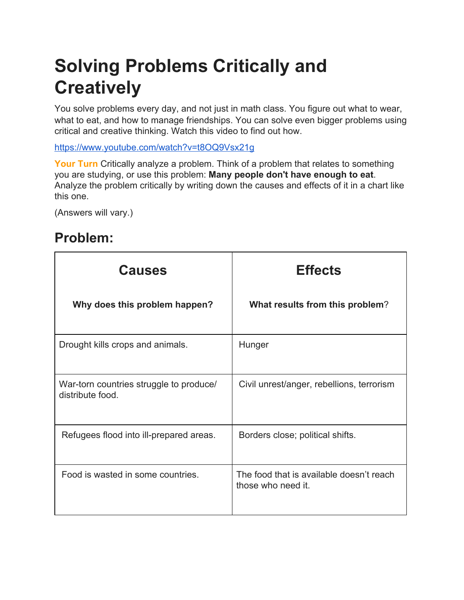## **Solving Problems Critically and Creatively**

You solve problems every day, and not just in math class. You figure out what to wear, what to eat, and how to manage friendships. You can solve even bigger problems using critical and creative thinking. Watch this video to find out how.

<https://www.youtube.com/watch?v=t8OQ9Vsx21g>

Your Turn Critically analyze a problem. Think of a problem that relates to something you are studying, or use this problem: **Many people don't have enough to eat**. Analyze the problem critically by writing down the causes and effects of it in a chart like this one.

(Answers will vary.)

## **Problem:**

| <b>Causes</b>                                               | <b>Effects</b>                                                 |
|-------------------------------------------------------------|----------------------------------------------------------------|
| Why does this problem happen?                               | What results from this problem?                                |
| Drought kills crops and animals.                            | Hunger                                                         |
| War-torn countries struggle to produce/<br>distribute food. | Civil unrest/anger, rebellions, terrorism                      |
| Refugees flood into ill-prepared areas.                     | Borders close; political shifts.                               |
| Food is wasted in some countries.                           | The food that is available doesn't reach<br>those who need it. |